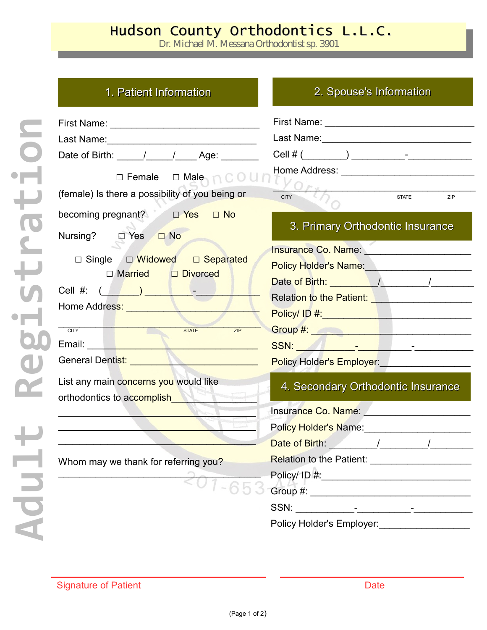## Hudson County Orthodontics L.L.C.

Dr. Michael M. Messana Orthodontist sp. 3901

## 1. Patient Information 2. Spouse's Information

| Date of Birth: \_____/ ____/ _____ Age: \______                                                                         |                                                                                                                                                                                                                               |  |  |
|-------------------------------------------------------------------------------------------------------------------------|-------------------------------------------------------------------------------------------------------------------------------------------------------------------------------------------------------------------------------|--|--|
| $\square$ Female $\square$ Male $\cap$ $\square$ $\square$ $\square$<br>(female) Is there a possibility of you being or |                                                                                                                                                                                                                               |  |  |
|                                                                                                                         | <b>CITY</b><br><b>STATE</b><br>ZIP                                                                                                                                                                                            |  |  |
| becoming pregnant? <b>D</b> Yes<br>$\Box$ No<br>Nursing? □ Yes □ No                                                     | 3. Primary Orthodontic Insurance                                                                                                                                                                                              |  |  |
|                                                                                                                         | Insurance Co. Name: Manual Annual Alexander Co. Name: Manual Alexander Co. 1999                                                                                                                                               |  |  |
| □ Single □ Widowed □ Separated                                                                                          | Policy Holder's Name: Names Communication of the Policy Holder's Name: Name Communication of the Policy Policy                                                                                                                |  |  |
| $\Box$ Married $\Box$ Divorced                                                                                          |                                                                                                                                                                                                                               |  |  |
|                                                                                                                         | Relation to the Patient: <b>Network</b> Patient Constant Constant Constant Constant Constant Constant Constant Constant                                                                                                       |  |  |
| Home Address: North Management                                                                                          |                                                                                                                                                                                                                               |  |  |
| STATE<br><b>CITY</b><br>ZIP                                                                                             | Group #: <u>Alexander Alexander Alexander Alexander Alexander Alexander Alexander Alexander Alexander Alexander</u>                                                                                                           |  |  |
| North Committee of the Committee of the                                                                                 |                                                                                                                                                                                                                               |  |  |
| General Dentist: <u>Continues</u>                                                                                       | Policy Holder's Employer: __________________                                                                                                                                                                                  |  |  |
| List any main concerns you would like<br>orthodontics to accomplish                                                     | 4. Secondary Orthodontic Insurance                                                                                                                                                                                            |  |  |
|                                                                                                                         |                                                                                                                                                                                                                               |  |  |
|                                                                                                                         | Policy Holder's Name: Manual Annual Annual Annual Annual Annual Annual Annual Annual Annual Annual Annual Annu                                                                                                                |  |  |
|                                                                                                                         |                                                                                                                                                                                                                               |  |  |
| Whom may we thank for referring you?                                                                                    | <b>Relation to the Patient:</b>                                                                                                                                                                                               |  |  |
|                                                                                                                         | Policy/ ID #: Note that the set of the set of the set of the set of the set of the set of the set of the set of the set of the set of the set of the set of the set of the set of the set of the set of the set of the set of |  |  |
|                                                                                                                         |                                                                                                                                                                                                                               |  |  |
|                                                                                                                         |                                                                                                                                                                                                                               |  |  |
|                                                                                                                         | Policy Holder's Employer:                                                                                                                                                                                                     |  |  |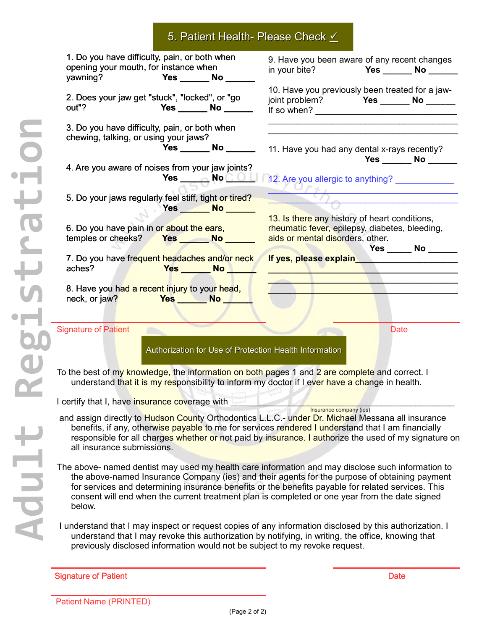|  |  |  |  | 5. Patient Health- Please Check $\angle$ |
|--|--|--|--|------------------------------------------|
|--|--|--|--|------------------------------------------|

| 1. Do you have difficulty, pain, or both when<br>opening your mouth, for instance when                                                                                                                                                                                                                                                                                                                               | 9. Have you been aware of any recent changes<br>Yes ________ No _____<br>in your bite?                                                                                                                     |  |  |  |
|----------------------------------------------------------------------------------------------------------------------------------------------------------------------------------------------------------------------------------------------------------------------------------------------------------------------------------------------------------------------------------------------------------------------|------------------------------------------------------------------------------------------------------------------------------------------------------------------------------------------------------------|--|--|--|
| 2. Does your jaw get "stuck", "locked", or "go<br>out"?<br><b>Paragona Pres</b> _______ No _______                                                                                                                                                                                                                                                                                                                   | 10. Have you previously been treated for a jaw-                                                                                                                                                            |  |  |  |
| 3. Do you have difficulty, pain, or both when<br>chewing, talking, or using your jaws?<br>4. Are you aware of noises from your jaw joints?                                                                                                                                                                                                                                                                           | Yes ________ No ___________ 11. Have you had any dental x-rays recently?<br>$Yes \_\_\_ No \_\_\_\_$                                                                                                       |  |  |  |
| 5. Do your jaws regularly feel stiff, tight or tired?<br>$Yes$ No $N$                                                                                                                                                                                                                                                                                                                                                | Yes $\_\_\_\_\_\_\_\_\_\_\_\_\_\_\_\_\_$ No $\_\_\_\_\_\_\_\_\_\_$ 12. Are you allergic to anything? $\_\_\_\_\_\_\_\_\_\_\_\_\_\_\_\_$<br>$\overline{b}$<br>13. Is there any history of heart conditions, |  |  |  |
| 6. Do you have pain in or about the ears,<br>temples or cheeks? Yes No No No                                                                                                                                                                                                                                                                                                                                         | rheumatic fever, epilepsy, diabetes, bleeding,<br>aids or mental disorders, other.<br><b>Yes ______ No ______</b>                                                                                          |  |  |  |
| 7. Do you have frequent headaches and/or neck<br>aches?<br><b>Yes ______ No New Yes</b>                                                                                                                                                                                                                                                                                                                              | If yes, please explain___________________                                                                                                                                                                  |  |  |  |
| 8. Have you had a recent injury to your head,<br>neck, or jaw? <b>Yes</b> No                                                                                                                                                                                                                                                                                                                                         |                                                                                                                                                                                                            |  |  |  |
| <b>Signature of Patient</b><br>Authorization for Use of Protection Health Information<br>To the best of my knowledge, the information on both pages 1 and 2 are complete and correct. I                                                                                                                                                                                                                              | <b>Date</b>                                                                                                                                                                                                |  |  |  |
| understand that it is my responsibility to inform my doctor if I ever have a change in health.                                                                                                                                                                                                                                                                                                                       |                                                                                                                                                                                                            |  |  |  |
| I certify that I, have insurance coverage with                                                                                                                                                                                                                                                                                                                                                                       | Insurance company (ies)                                                                                                                                                                                    |  |  |  |
| and assign directly to Hudson County Orthodontics L.L.C.- under Dr. Michael Messana all insurance<br>benefits, if any, otherwise payable to me for services rendered I understand that I am financially<br>all insurance submissions.                                                                                                                                                                                | responsible for all charges whether or not paid by insurance. I authorize the used of my signature on                                                                                                      |  |  |  |
| The above- named dentist may used my health care information and may disclose such information to<br>the above-named Insurance Company (ies) and their agents for the purpose of obtaining payment<br>for services and determining insurance benefits or the benefits payable for related services. This<br>consent will end when the current treatment plan is completed or one year from the date signed<br>below. |                                                                                                                                                                                                            |  |  |  |
| I understand that I may inspect or request copies of any information disclosed by this authorization. I<br>understand that I may revoke this authorization by notifying, in writing, the office, knowing that<br>previously disclosed information would not be subject to my revoke request.                                                                                                                         |                                                                                                                                                                                                            |  |  |  |

**A dult**

**R**

**e**

**g**

**i**

**s**

**t**

**r**

**a**

**t**

**i**

**o**

**n**

Signature of Patient Date Controller and Controller and Controller and Controller and Date Date